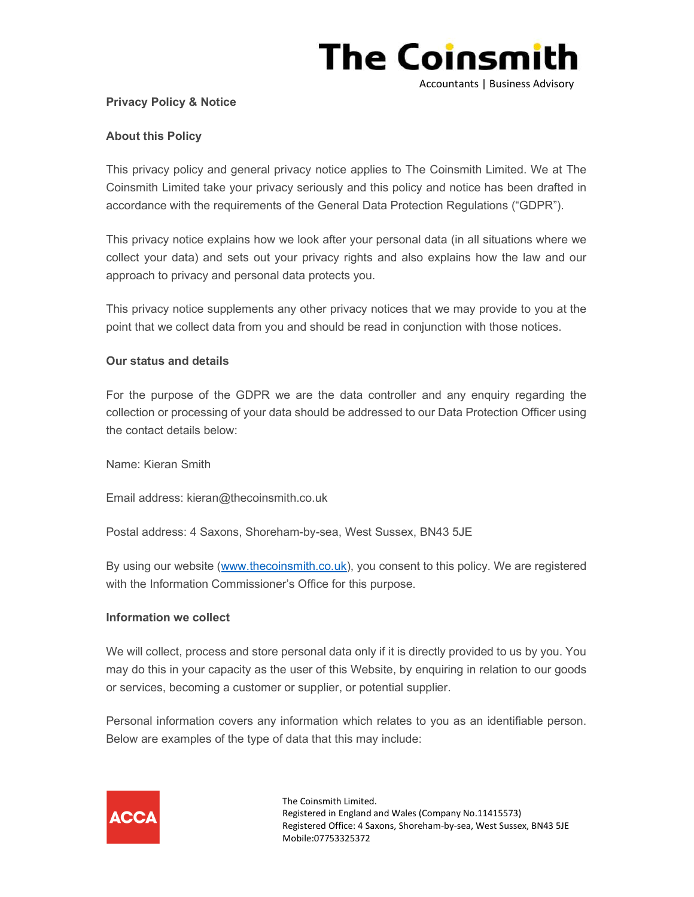

#### Privacy Policy & Notice

### About this Policy

This privacy policy and general privacy notice applies to The Coinsmith Limited. We at The Coinsmith Limited take your privacy seriously and this policy and notice has been drafted in accordance with the requirements of the General Data Protection Regulations ("GDPR").

This privacy notice explains how we look after your personal data (in all situations where we collect your data) and sets out your privacy rights and also explains how the law and our approach to privacy and personal data protects you.

This privacy notice supplements any other privacy notices that we may provide to you at the point that we collect data from you and should be read in conjunction with those notices.

#### Our status and details

For the purpose of the GDPR we are the data controller and any enquiry regarding the collection or processing of your data should be addressed to our Data Protection Officer using the contact details below:

Name: Kieran Smith

Email address: kieran@thecoinsmith.co.uk

Postal address: 4 Saxons, Shoreham-by-sea, West Sussex, BN43 5JE

By using our website (www.thecoinsmith.co.uk), you consent to this policy. We are registered with the Information Commissioner's Office for this purpose.

#### Information we collect

We will collect, process and store personal data only if it is directly provided to us by you. You may do this in your capacity as the user of this Website, by enquiring in relation to our goods or services, becoming a customer or supplier, or potential supplier.

Personal information covers any information which relates to you as an identifiable person. Below are examples of the type of data that this may include:

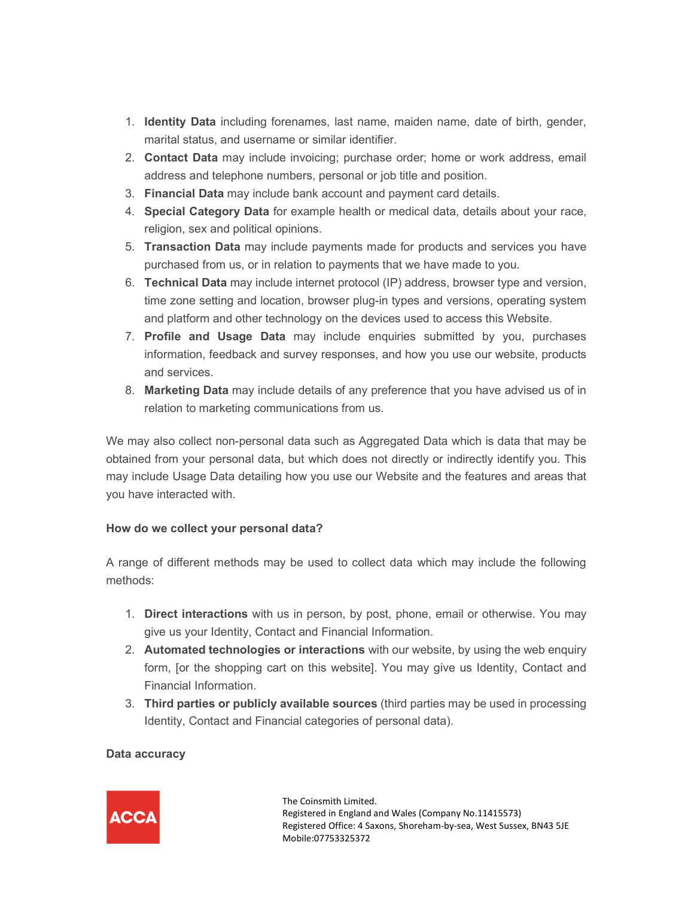- 1. Identity Data including forenames, last name, maiden name, date of birth, gender, marital status, and username or similar identifier.
- 2. Contact Data may include invoicing; purchase order; home or work address, email address and telephone numbers, personal or job title and position.
- 3. Financial Data may include bank account and payment card details.
- 4. Special Category Data for example health or medical data, details about your race, religion, sex and political opinions.
- 5. Transaction Data may include payments made for products and services you have purchased from us, or in relation to payments that we have made to you.
- 6. Technical Data may include internet protocol (IP) address, browser type and version, time zone setting and location, browser plug-in types and versions, operating system and platform and other technology on the devices used to access this Website.
- 7. Profile and Usage Data may include enquiries submitted by you, purchases information, feedback and survey responses, and how you use our website, products and services.
- 8. Marketing Data may include details of any preference that you have advised us of in relation to marketing communications from us.

We may also collect non-personal data such as Aggregated Data which is data that may be obtained from your personal data, but which does not directly or indirectly identify you. This may include Usage Data detailing how you use our Website and the features and areas that you have interacted with.

### How do we collect your personal data?

A range of different methods may be used to collect data which may include the following methods:

- 1. Direct interactions with us in person, by post, phone, email or otherwise. You may give us your Identity, Contact and Financial Information.
- 2. Automated technologies or interactions with our website, by using the web enquiry form, [or the shopping cart on this website]. You may give us Identity, Contact and Financial Information.
- 3. Third parties or publicly available sources (third parties may be used in processing Identity, Contact and Financial categories of personal data).

# Data accuracy

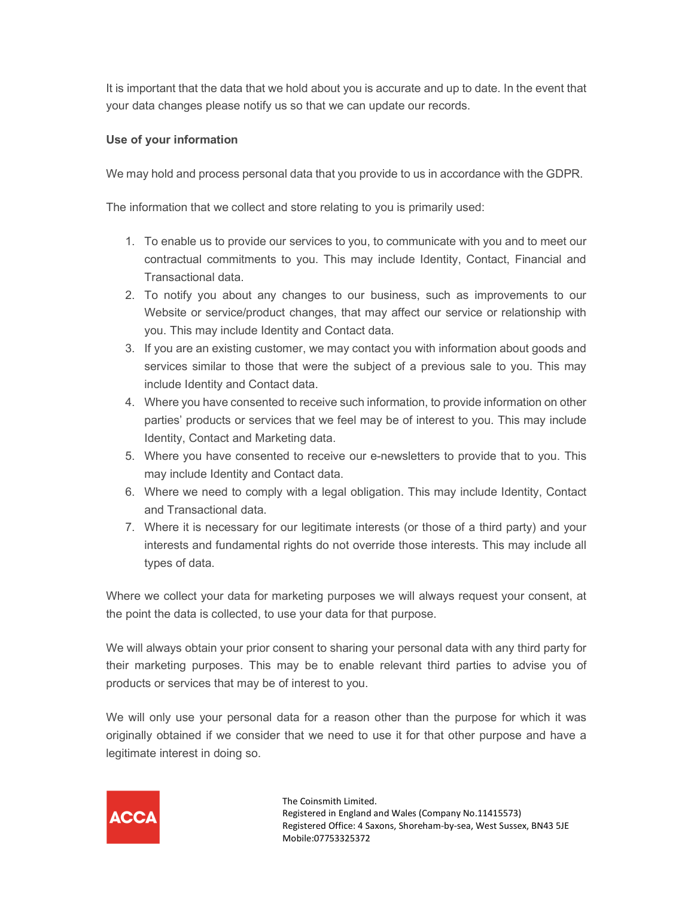It is important that the data that we hold about you is accurate and up to date. In the event that your data changes please notify us so that we can update our records.

### Use of your information

We may hold and process personal data that you provide to us in accordance with the GDPR.

The information that we collect and store relating to you is primarily used:

- 1. To enable us to provide our services to you, to communicate with you and to meet our contractual commitments to you. This may include Identity, Contact, Financial and Transactional data.
- 2. To notify you about any changes to our business, such as improvements to our Website or service/product changes, that may affect our service or relationship with you. This may include Identity and Contact data.
- 3. If you are an existing customer, we may contact you with information about goods and services similar to those that were the subject of a previous sale to you. This may include Identity and Contact data.
- 4. Where you have consented to receive such information, to provide information on other parties' products or services that we feel may be of interest to you. This may include Identity, Contact and Marketing data.
- 5. Where you have consented to receive our e-newsletters to provide that to you. This may include Identity and Contact data.
- 6. Where we need to comply with a legal obligation. This may include Identity, Contact and Transactional data.
- 7. Where it is necessary for our legitimate interests (or those of a third party) and your interests and fundamental rights do not override those interests. This may include all types of data.

Where we collect your data for marketing purposes we will always request your consent, at the point the data is collected, to use your data for that purpose.

We will always obtain your prior consent to sharing your personal data with any third party for their marketing purposes. This may be to enable relevant third parties to advise you of products or services that may be of interest to you.

We will only use your personal data for a reason other than the purpose for which it was originally obtained if we consider that we need to use it for that other purpose and have a legitimate interest in doing so.

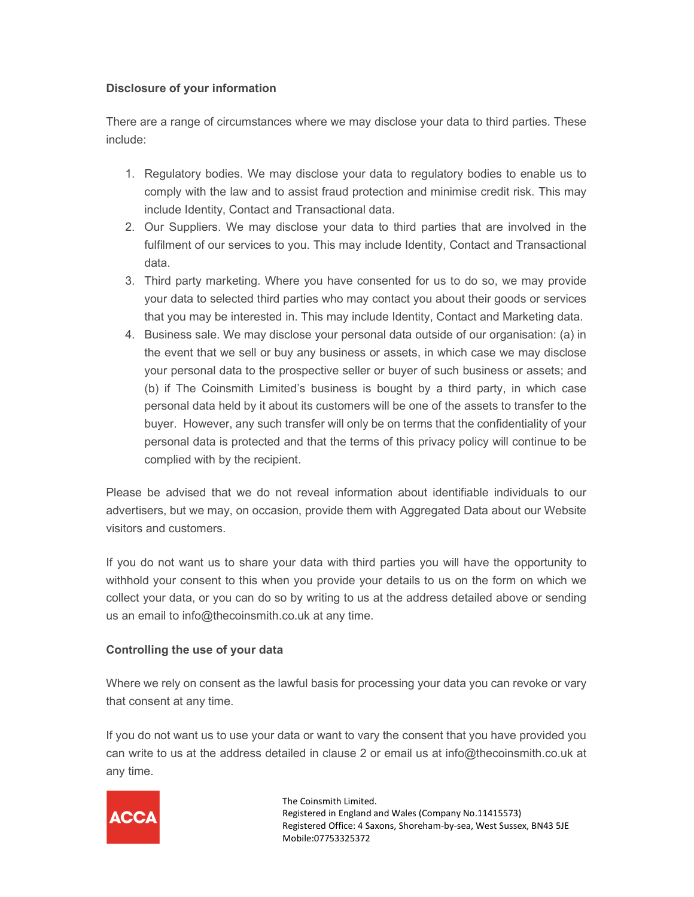### Disclosure of your information

There are a range of circumstances where we may disclose your data to third parties. These include:

- 1. Regulatory bodies. We may disclose your data to regulatory bodies to enable us to comply with the law and to assist fraud protection and minimise credit risk. This may include Identity, Contact and Transactional data.
- 2. Our Suppliers. We may disclose your data to third parties that are involved in the fulfilment of our services to you. This may include Identity, Contact and Transactional data.
- 3. Third party marketing. Where you have consented for us to do so, we may provide your data to selected third parties who may contact you about their goods or services that you may be interested in. This may include Identity, Contact and Marketing data.
- 4. Business sale. We may disclose your personal data outside of our organisation: (a) in the event that we sell or buy any business or assets, in which case we may disclose your personal data to the prospective seller or buyer of such business or assets; and (b) if The Coinsmith Limited's business is bought by a third party, in which case personal data held by it about its customers will be one of the assets to transfer to the buyer. However, any such transfer will only be on terms that the confidentiality of your personal data is protected and that the terms of this privacy policy will continue to be complied with by the recipient.

Please be advised that we do not reveal information about identifiable individuals to our advertisers, but we may, on occasion, provide them with Aggregated Data about our Website visitors and customers.

If you do not want us to share your data with third parties you will have the opportunity to withhold your consent to this when you provide your details to us on the form on which we collect your data, or you can do so by writing to us at the address detailed above or sending us an email to info@thecoinsmith.co.uk at any time.

### Controlling the use of your data

Where we rely on consent as the lawful basis for processing your data you can revoke or vary that consent at any time.

If you do not want us to use your data or want to vary the consent that you have provided you can write to us at the address detailed in clause 2 or email us at info@thecoinsmith.co.uk at any time.

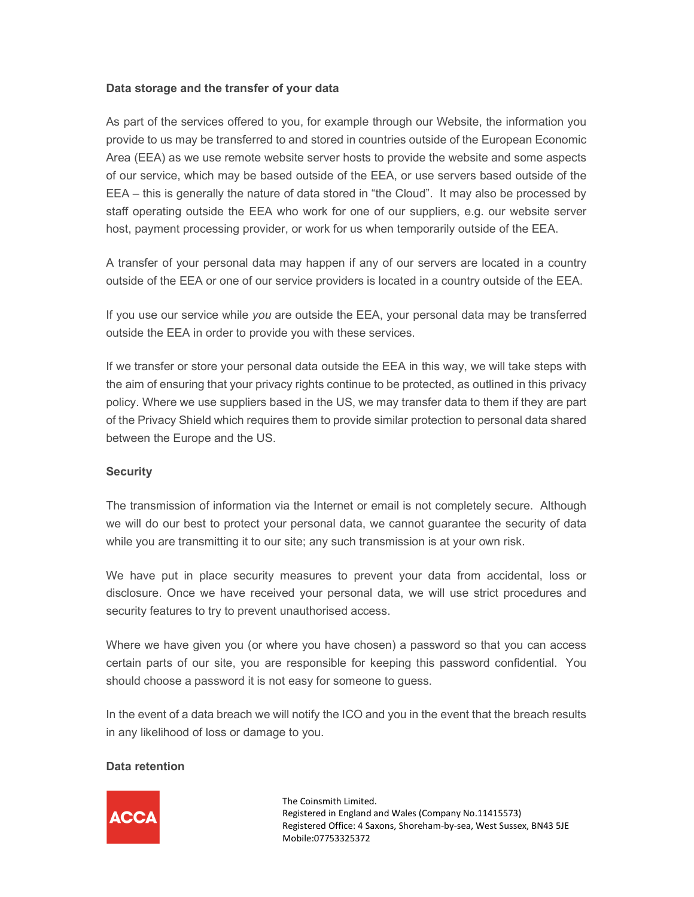### Data storage and the transfer of your data

As part of the services offered to you, for example through our Website, the information you provide to us may be transferred to and stored in countries outside of the European Economic Area (EEA) as we use remote website server hosts to provide the website and some aspects of our service, which may be based outside of the EEA, or use servers based outside of the EEA – this is generally the nature of data stored in "the Cloud". It may also be processed by staff operating outside the EEA who work for one of our suppliers, e.g. our website server host, payment processing provider, or work for us when temporarily outside of the EEA.

A transfer of your personal data may happen if any of our servers are located in a country outside of the EEA or one of our service providers is located in a country outside of the EEA.

If you use our service while you are outside the EEA, your personal data may be transferred outside the EEA in order to provide you with these services.

If we transfer or store your personal data outside the EEA in this way, we will take steps with the aim of ensuring that your privacy rights continue to be protected, as outlined in this privacy policy. Where we use suppliers based in the US, we may transfer data to them if they are part of the Privacy Shield which requires them to provide similar protection to personal data shared between the Europe and the US.

#### **Security**

The transmission of information via the Internet or email is not completely secure. Although we will do our best to protect your personal data, we cannot guarantee the security of data while you are transmitting it to our site; any such transmission is at your own risk.

We have put in place security measures to prevent your data from accidental, loss or disclosure. Once we have received your personal data, we will use strict procedures and security features to try to prevent unauthorised access.

Where we have given you (or where you have chosen) a password so that you can access certain parts of our site, you are responsible for keeping this password confidential. You should choose a password it is not easy for someone to guess.

In the event of a data breach we will notify the ICO and you in the event that the breach results in any likelihood of loss or damage to you.

#### Data retention

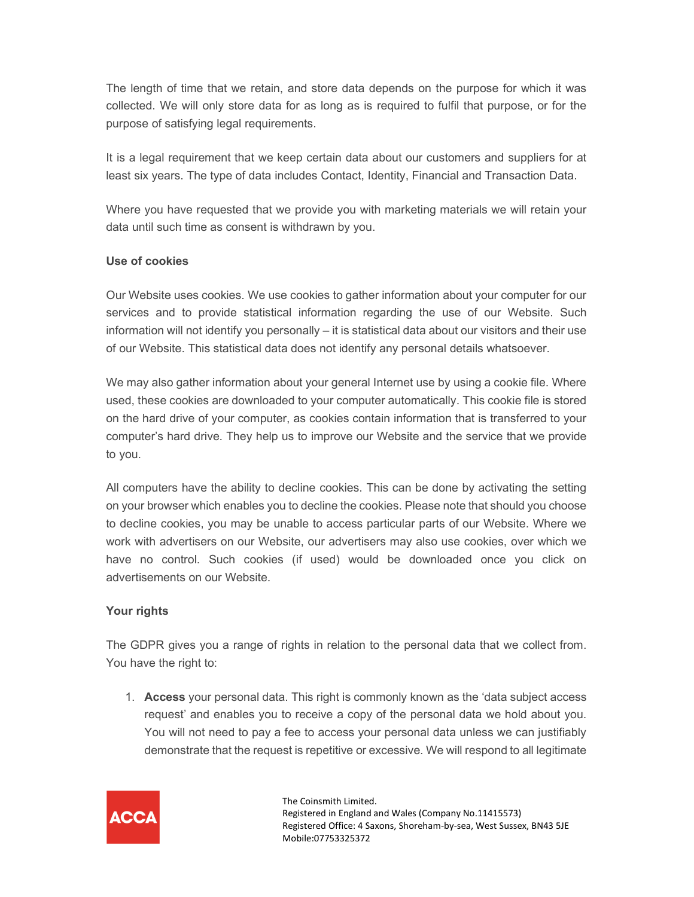The length of time that we retain, and store data depends on the purpose for which it was collected. We will only store data for as long as is required to fulfil that purpose, or for the purpose of satisfying legal requirements.

It is a legal requirement that we keep certain data about our customers and suppliers for at least six years. The type of data includes Contact, Identity, Financial and Transaction Data.

Where you have requested that we provide you with marketing materials we will retain your data until such time as consent is withdrawn by you.

### Use of cookies

Our Website uses cookies. We use cookies to gather information about your computer for our services and to provide statistical information regarding the use of our Website. Such information will not identify you personally – it is statistical data about our visitors and their use of our Website. This statistical data does not identify any personal details whatsoever.

We may also gather information about your general Internet use by using a cookie file. Where used, these cookies are downloaded to your computer automatically. This cookie file is stored on the hard drive of your computer, as cookies contain information that is transferred to your computer's hard drive. They help us to improve our Website and the service that we provide to you.

All computers have the ability to decline cookies. This can be done by activating the setting on your browser which enables you to decline the cookies. Please note that should you choose to decline cookies, you may be unable to access particular parts of our Website. Where we work with advertisers on our Website, our advertisers may also use cookies, over which we have no control. Such cookies (if used) would be downloaded once you click on advertisements on our Website.

# Your rights

The GDPR gives you a range of rights in relation to the personal data that we collect from. You have the right to:

1. Access your personal data. This right is commonly known as the 'data subject access request' and enables you to receive a copy of the personal data we hold about you. You will not need to pay a fee to access your personal data unless we can justifiably demonstrate that the request is repetitive or excessive. We will respond to all legitimate

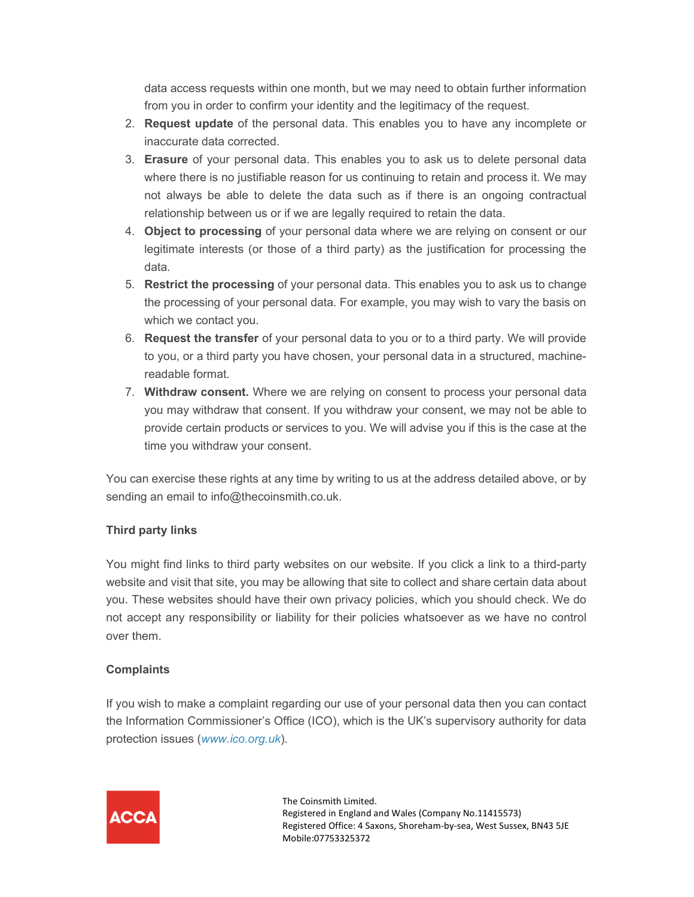data access requests within one month, but we may need to obtain further information from you in order to confirm your identity and the legitimacy of the request.

- 2. Request update of the personal data. This enables you to have any incomplete or inaccurate data corrected.
- 3. Erasure of your personal data. This enables you to ask us to delete personal data where there is no justifiable reason for us continuing to retain and process it. We may not always be able to delete the data such as if there is an ongoing contractual relationship between us or if we are legally required to retain the data.
- 4. Object to processing of your personal data where we are relying on consent or our legitimate interests (or those of a third party) as the justification for processing the data.
- 5. Restrict the processing of your personal data. This enables you to ask us to change the processing of your personal data. For example, you may wish to vary the basis on which we contact you.
- 6. Request the transfer of your personal data to you or to a third party. We will provide to you, or a third party you have chosen, your personal data in a structured, machinereadable format.
- 7. Withdraw consent. Where we are relying on consent to process your personal data you may withdraw that consent. If you withdraw your consent, we may not be able to provide certain products or services to you. We will advise you if this is the case at the time you withdraw your consent.

You can exercise these rights at any time by writing to us at the address detailed above, or by sending an email to info@thecoinsmith.co.uk.

# Third party links

You might find links to third party websites on our website. If you click a link to a third-party website and visit that site, you may be allowing that site to collect and share certain data about you. These websites should have their own privacy policies, which you should check. We do not accept any responsibility or liability for their policies whatsoever as we have no control over them.

# **Complaints**

If you wish to make a complaint regarding our use of your personal data then you can contact the Information Commissioner's Office (ICO), which is the UK's supervisory authority for data protection issues (www.ico.org.uk).